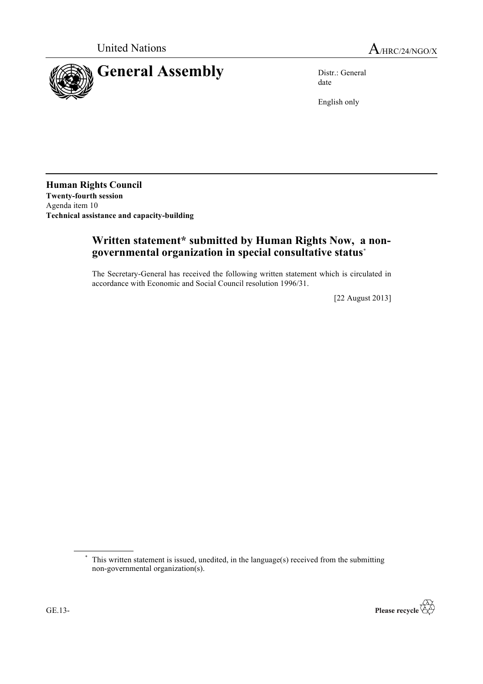

date

English only

**Human Rights Council Twenty-fourth session** Agenda item 10 **Technical assistance and capacity-building**

# **Written statement\* submitted by Human Rights Now, a nongovernmental organization in special consultative status**\*

The Secretary-General has received the following written statement which is circulated in accordance with Economic and Social Council resolution 1996/31.

[22 August 2013]

<sup>\*</sup> This written statement is issued, unedited, in the language(s) received from the submitting non-governmental organization(s).

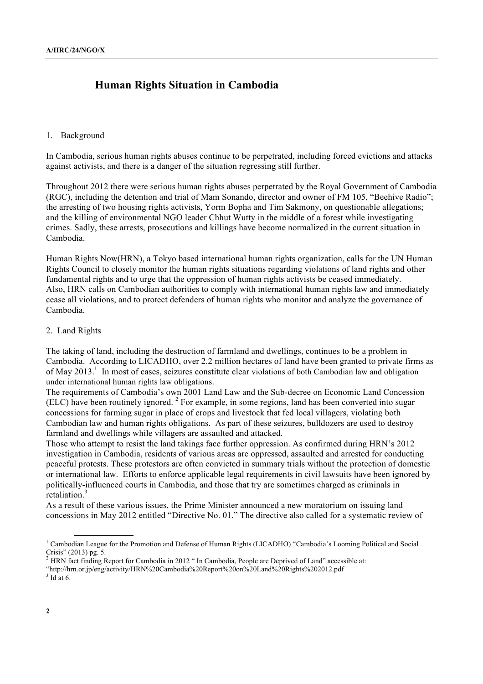# **Human Rights Situation in Cambodia**

### 1. Background

In Cambodia, serious human rights abuses continue to be perpetrated, including forced evictions and attacks against activists, and there is a danger of the situation regressing still further.

Throughout 2012 there were serious human rights abuses perpetrated by the Royal Government of Cambodia (RGC), including the detention and trial of Mam Sonando, director and owner of FM 105, "Beehive Radio"; the arresting of two housing rights activists, Yorm Bopha and Tim Sakmony, on questionable allegations; and the killing of environmental NGO leader Chhut Wutty in the middle of a forest while investigating crimes. Sadly, these arrests, prosecutions and killings have become normalized in the current situation in Cambodia.

Human Rights Now(HRN), a Tokyo based international human rights organization, calls for the UN Human Rights Council to closely monitor the human rights situations regarding violations of land rights and other fundamental rights and to urge that the oppression of human rights activists be ceased immediately. Also, HRN calls on Cambodian authorities to comply with international human rights law and immediately cease all violations, and to protect defenders of human rights who monitor and analyze the governance of Cambodia.

#### 2. Land Rights

The taking of land, including the destruction of farmland and dwellings, continues to be a problem in Cambodia. According to LICADHO, over 2.2 million hectares of land have been granted to private firms as of May 2013.<sup>1</sup> In most of cases, seizures constitute clear violations of both Cambodian law and obligation under international human rights law obligations.

The requirements of Cambodia's own 2001 Land Law and the Sub-decree on Economic Land Concession  $(ELC)$  have been routinely ignored.<sup>2</sup> For example, in some regions, land has been converted into sugar concessions for farming sugar in place of crops and livestock that fed local villagers, violating both Cambodian law and human rights obligations. As part of these seizures, bulldozers are used to destroy farmland and dwellings while villagers are assaulted and attacked.

Those who attempt to resist the land takings face further oppression. As confirmed during HRN's 2012 investigation in Cambodia, residents of various areas are oppressed, assaulted and arrested for conducting peaceful protests. These protestors are often convicted in summary trials without the protection of domestic or international law. Efforts to enforce applicable legal requirements in civil lawsuits have been ignored by politically-influenced courts in Cambodia, and those that try are sometimes charged as criminals in retaliation $3$ 

As a result of these various issues, the Prime Minister announced a new moratorium on issuing land concessions in May 2012 entitled "Directive No. 01." The directive also called for a systematic review of

<sup>&</sup>lt;sup>1</sup> Cambodian League for the Promotion and Defense of Human Rights (LICADHO) "Cambodia's Looming Political and Social Crisis" (2013) pg. 5. <sup>2</sup> HRN fact finding Report for Cambodia in 2012 " In Cambodia, People are Deprived of Land" accessible at:

<sup>&</sup>quot;http://hrn.or.jp/eng/activity/HRN%20Cambodia%20Report%20on%20Land%20Rights%202012.pdf

 $3$  Id at 6.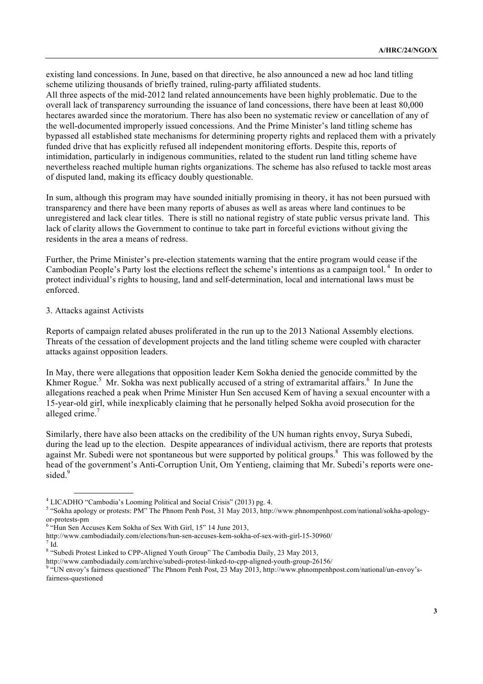existing land concessions. In June, based on that directive, he also announced a new ad hoc land titling scheme utilizing thousands of briefly trained, ruling-party affiliated students.

All three aspects of the mid-2012 land related announcements have been highly problematic. Due to the overall lack of transparency surrounding the issuance of land concessions, there have been at least 80,000 hectares awarded since the moratorium. There has also been no systematic review or cancellation of any of the well-documented improperly issued concessions. And the Prime Minister's land titling scheme has bypassed all established state mechanisms for determining property rights and replaced them with a privately funded drive that has explicitly refused all independent monitoring efforts. Despite this, reports of intimidation, particularly in indigenous communities, related to the student run land titling scheme have nevertheless reached multiple human rights organizations. The scheme has also refused to tackle most areas of disputed land, making its efficacy doubly questionable.

In sum, although this program may have sounded initially promising in theory, it has not been pursued with transparency and there have been many reports of abuses as well as areas where land continues to be unregistered and lack clear titles. There is still no national registry of state public versus private land. This lack of clarity allows the Government to continue to take part in forceful evictions without giving the residents in the area a means of redress.

Further, the Prime Minister's pre-election statements warning that the entire program would cease if the Cambodian People's Party lost the elections reflect the scheme's intentions as a campaign tool.<sup>4</sup> In order to protect individual's rights to housing, land and self-determination, local and international laws must be enforced.

### 3. Attacks against Activists

Reports of campaign related abuses proliferated in the run up to the 2013 National Assembly elections. Threats of the cessation of development projects and the land titling scheme were coupled with character attacks against opposition leaders.

In May, there were allegations that opposition leader Kem Sokha denied the genocide committed by the Khmer Rogue.<sup>5</sup> Mr. Sokha was next publically accused of a string of extramarital affairs.<sup>6</sup> In June the allegations reached a peak when Prime Minister Hun Sen accused Kem of having a sexual encounter with a 15-year-old girl, while inexplicably claiming that he personally helped Sokha avoid prosecution for the alleged crime.<sup>7</sup>

Similarly, there have also been attacks on the credibility of the UN human rights envoy, Surya Subedi, during the lead up to the election. Despite appearances of individual activism, there are reports that protests against Mr. Subedi were not spontaneous but were supported by political groups.<sup>8</sup> This was followed by the head of the government's Anti-Corruption Unit, Om Yentieng, claiming that Mr. Subedi's reports were onesided.<sup>9</sup>

<sup>&</sup>lt;sup>4</sup> LICADHO "Cambodia's Looming Political and Social Crisis" (2013) pg. 4.

<sup>&</sup>lt;sup>5</sup> "Sokha apology or protests: PM" The Phnom Penh Post, 31 May 2013, http://www.phnompenhpost.com/national/sokha-apologyor-protests-pm <sup>6</sup>

 $6$  "Hun Sen Accuses Kem Sokha of Sex With Girl, 15" 14 June 2013,

http://www.cambodiadaily.com/elections/hun-sen-accuses-kem-sokha-of-sex-with-girl-15-30960/ <sup>7</sup>

<sup>&</sup>lt;sup>7</sup> Id.<br><sup>8</sup> "Subedi Protest Linked to CPP-Aligned Youth Group" The Cambodia Daily, 23 May 2013,

http://www.cambodiadaily.com/archive/subedi-protest-linked-to-cpp-aligned-youth-group-26156/ <sup>9</sup>

<sup>&</sup>lt;sup>9</sup> "UN envoy's fairness questioned" The Phnom Penh Post, 23 May 2013, http://www.phnompenhpost.com/national/un-envoy'sfairness-questioned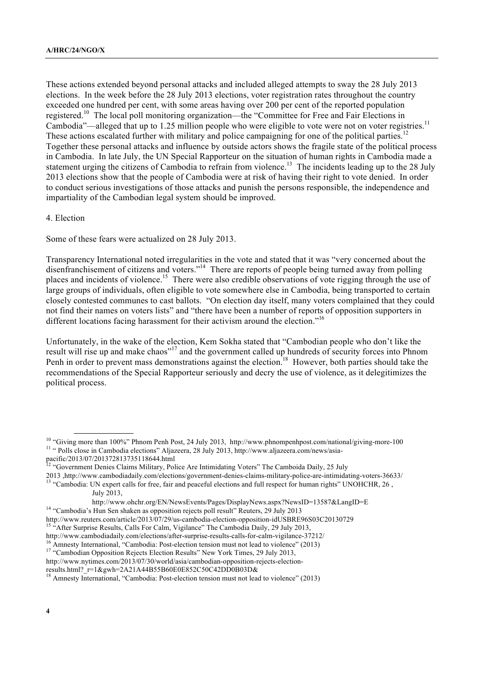These actions extended beyond personal attacks and included alleged attempts to sway the 28 July 2013 elections. In the week before the 28 July 2013 elections, voter registration rates throughout the country exceeded one hundred per cent, with some areas having over 200 per cent of the reported population registered.<sup>10</sup> The local poll monitoring organization—the "Committee for Free and Fair Elections in Cambodia"—alleged that up to 1.25 million people who were eligible to vote were not on voter registries.<sup>11</sup> These actions escalated further with military and police campaigning for one of the political parties.<sup>12</sup> Together these personal attacks and influence by outside actors shows the fragile state of the political process in Cambodia. In late July, the UN Special Rapporteur on the situation of human rights in Cambodia made a statement urging the citizens of Cambodia to refrain from violence.<sup>13</sup> The incidents leading up to the 28 July 2013 elections show that the people of Cambodia were at risk of having their right to vote denied. In order to conduct serious investigations of those attacks and punish the persons responsible, the independence and impartiality of the Cambodian legal system should be improved.

## 4. Election

Some of these fears were actualized on 28 July 2013.

Transparency International noted irregularities in the vote and stated that it was "very concerned about the disenfranchisement of citizens and voters."<sup>14</sup> There are reports of people being turned away from polling places and incidents of violence.<sup>15</sup> There were also credible observations of vote rigging through the use of large groups of individuals, often eligible to vote somewhere else in Cambodia, being transported to certain closely contested communes to cast ballots. "On election day itself, many voters complained that they could not find their names on voters lists" and "there have been a number of reports of opposition supporters in different locations facing harassment for their activism around the election."<sup>16</sup>

Unfortunately, in the wake of the election, Kem Sokha stated that "Cambodian people who don't like the result will rise up and make chaos"<sup>17</sup> and the government called up hundreds of security forces into Phnom Penh in order to prevent mass demonstrations against the election.<sup>18</sup> However, both parties should take the recommendations of the Special Rapporteur seriously and decry the use of violence, as it delegitimizes the political process.

July 2013,

<sup>&</sup>lt;sup>10</sup> "Giving more than 100%" Phnom Penh Post, 24 July 2013, http://www.phnompenhpost.com/national/giving-more-100 <sup>11</sup> " Polls close in Cambodia elections" Aljazeera, 28 July 2013, http://www.aljazeera.com/news/asia-

pacific/2013/07/201372813735118644.html

<sup>&</sup>lt;sup>12</sup> "Government Denies Claims Military, Police Are Intimidating Voters" The Camboida Daily, 25 July

<sup>2013,</sup> http://www.cambodiadaily.com/elections/government-denies-claims-military-police-are-intimidating-voters-36633/<br><sup>13</sup> "Cambodia: UN expert calls for free, fair and peaceful elections and full respect for human rights"

http://www.ohchr.org/EN/NewsEvents/Pages/DisplayNews.aspx?NewsID=13587&LangID=E <sup>14</sup> "Cambodia's Hun Sen shaken as opposition rejects poll result" Reuters, 29 July 2013

http://www.reuters.com/article/2013/07/29/us-cambodia-election-opposition-idUSBRE96S03C20130729<br><sup>15</sup> "After Surprise Results, Calls For Calm, Vigilance" The Cambodia Daily, 29 July 2013,

http://www.cambodiadaily.com/elections/after-surprise-results-calls-for-calm-vigilance-37212/<br><sup>16</sup> Amnesty International, "Cambodia: Post-election tension must not lead to violence" (2013)<br><sup>17</sup> "Cambodian Opposition Reject

http://www.nytimes.com/2013/07/30/world/asia/cambodian-opposition-rejects-election-

results.html? r=1&gwh=2A21A44B55B60E0E852C50C42DD0B03D&

<sup>&</sup>lt;sup>18</sup> Amnesty International, "Cambodia: Post-election tension must not lead to violence" (2013)